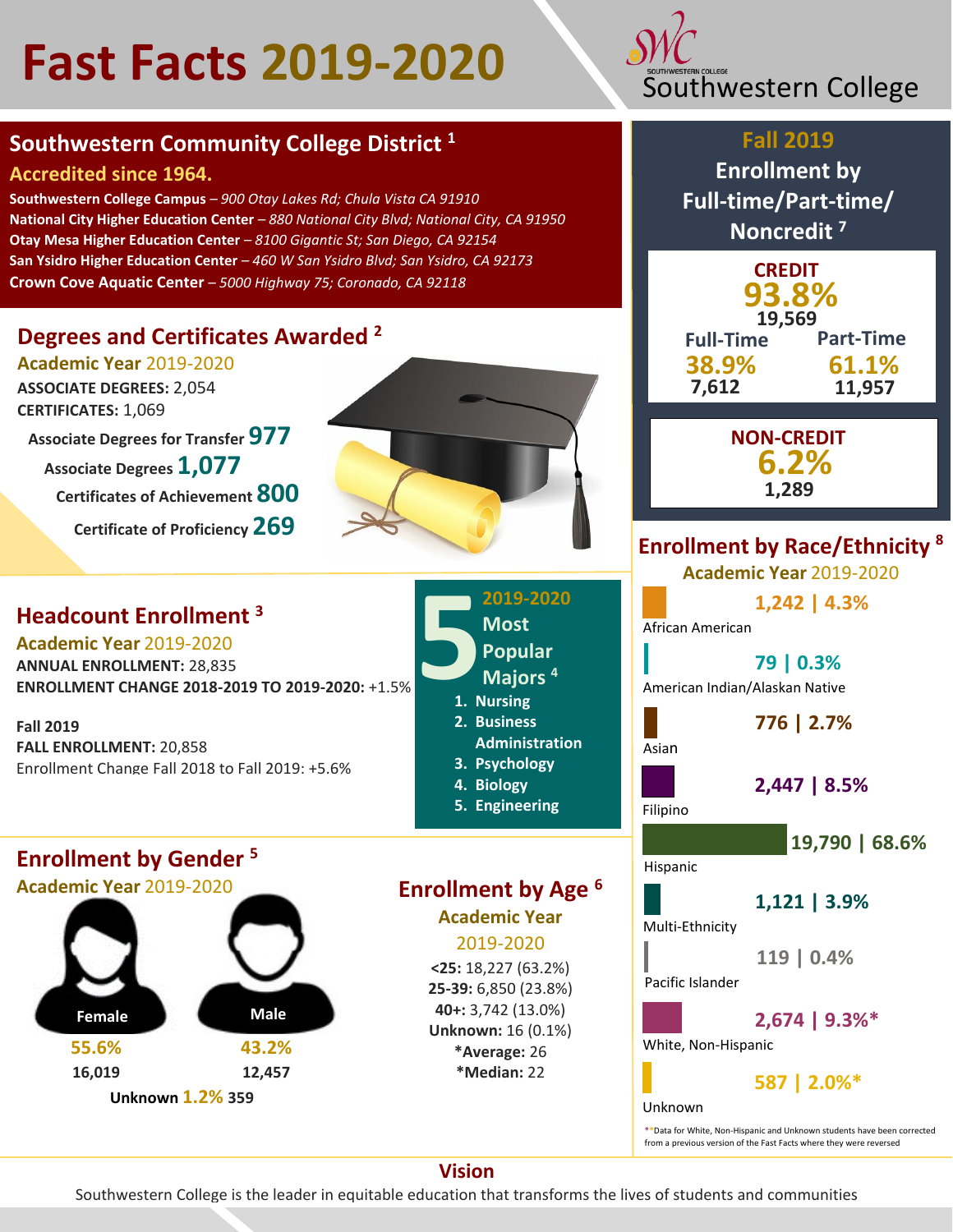# Fast Facts 2019-2020



## **Accredited since 1964.**

**Southwestern College Campus** *– 900 Otay Lakes Rd; Chula Vista CA 91910* **National City Higher Education Center** *– 880 National City Blvd; National City, CA 91950* **Otay Mesa Higher Education Center** *– 8100 Gigantic St; San Diego, CA 92154* **San Ysidro Higher Education Center** *– 460 W San Ysidro Blvd; San Ysidro, CA 92173* **Crown Cove Aquatic Center** *– 5000 Highway 75; Coronado, CA 92118*

# **Degrees and Certificates Awarded <sup>2</sup>**

**Academic Year** 2019-2020

**ASSOCIATE DEGREES:** 2,054 **CERTIFICATES:** 1,069

**Associate Degrees for Transfer 977 Associate Degrees 1,077 Certificates of Achievement 800**

**Certificate of Proficiency 269**

# **Headcount Enrollment <sup>3</sup>**

**Academic Year** 2019-2020 **ANNUAL ENROLLMENT:** 28,835 **ENROLLMENT CHANGE 2018-2019 TO 2019-2020:** +1.5%

**Fall 2019 FALL ENROLLMENT:** 20,858 Enrollment Change Fall 2018 to Fall 2019: +5.6%

## **Enrollment by Gender <sup>5</sup>**

**Academic Year** 2019-2020



**2. Business Administration 3. Psychology 4. Biology 5. Engineering Enrollment by Age <sup>6</sup> Academic Year** 2019-2020

**1. Nursing**

**5**

**2019-2020**

**Most Popular Majors <sup>4</sup>**

**<25:** 18,227 (63.2%) **25-39:** 6,850 (23.8%) **40+:** 3,742 (13.0%) **Unknown:** 16 (0.1%) **\*Average:** 26 **\*Median:** 22



## **Fall 2019**

**Enrollment by Full-time/Part-time/ Noncredit <sup>7</sup>**

| <b>CREDIT</b><br>93.8%<br>19.569 |                  |  |
|----------------------------------|------------------|--|
| <b>Full-Time</b>                 | <b>Part-Time</b> |  |
| 38.9%                            | 61.1%            |  |
| 7,612                            | 11,957           |  |

**NON-CREDIT 6.2% 1,289**

# **Enrollment by Race/Ethnicity <sup>8</sup>**

**Academic Year** 2019-2020

**1,242 | 4.3%**

African American

**79 | 0.3%** American Indian/Alaskan Native

**776 | 2.7%**

Asian

**2,447 | 8.5%**

Filipino

**19,790 | 68.6%**

Hispanic

**1,121 | 3.9%**

Multi-Ethnicity

**119 | 0.4%**

Pacific Islander

**2,674 | 9.3%\***

White, Non-Hispanic

**587 | 2.0%\***

Unknown

**\*\***Data for White, Non-Hispanic and Unknown students have been corrected from a previous version of the Fast Facts where they were reversed

**Vision**

Southwestern College is the leader in equitable education that transforms the lives of students and communities